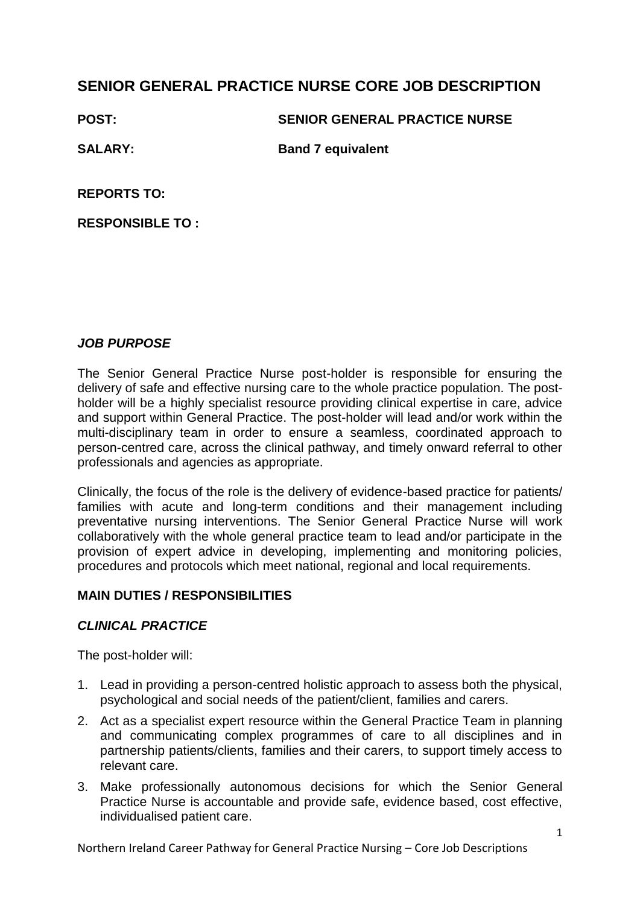# **SENIOR GENERAL PRACTICE NURSE CORE JOB DESCRIPTION**

### **POST: SENIOR GENERAL PRACTICE NURSE**

**SALARY: Band 7 equivalent** 

**REPORTS TO:**

**RESPONSIBLE TO :**

# *JOB PURPOSE*

The Senior General Practice Nurse post-holder is responsible for ensuring the delivery of safe and effective nursing care to the whole practice population. The postholder will be a highly specialist resource providing clinical expertise in care, advice and support within General Practice. The post-holder will lead and/or work within the multi-disciplinary team in order to ensure a seamless, coordinated approach to person-centred care, across the clinical pathway, and timely onward referral to other professionals and agencies as appropriate.

Clinically, the focus of the role is the delivery of evidence-based practice for patients/ families with acute and long-term conditions and their management including preventative nursing interventions. The Senior General Practice Nurse will work collaboratively with the whole general practice team to lead and/or participate in the provision of expert advice in developing, implementing and monitoring policies, procedures and protocols which meet national, regional and local requirements.

## **MAIN DUTIES / RESPONSIBILITIES**

# *CLINICAL PRACTICE*

The post-holder will:

- 1. Lead in providing a person-centred holistic approach to assess both the physical, psychological and social needs of the patient/client, families and carers.
- 2. Act as a specialist expert resource within the General Practice Team in planning and communicating complex programmes of care to all disciplines and in partnership patients/clients, families and their carers, to support timely access to relevant care.
- 3. Make professionally autonomous decisions for which the Senior General Practice Nurse is accountable and provide safe, evidence based, cost effective, individualised patient care.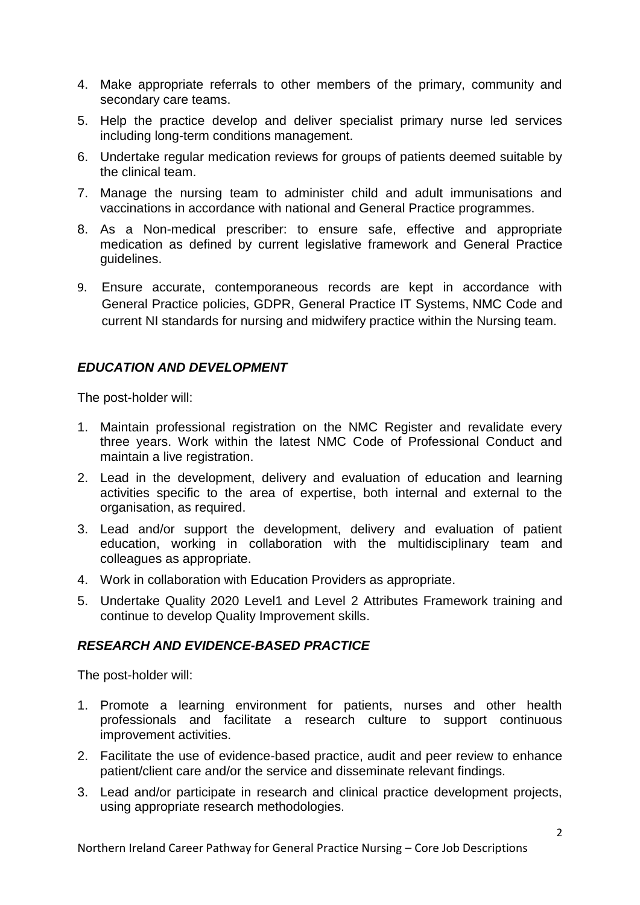- 4. Make appropriate referrals to other members of the primary, community and secondary care teams.
- 5. Help the practice develop and deliver specialist primary nurse led services including long-term conditions management.
- 6. Undertake regular medication reviews for groups of patients deemed suitable by the clinical team.
- 7. Manage the nursing team to administer child and adult immunisations and vaccinations in accordance with national and General Practice programmes.
- 8. As a Non-medical prescriber: to ensure safe, effective and appropriate medication as defined by current legislative framework and General Practice guidelines.
- 9. Ensure accurate, contemporaneous records are kept in accordance with General Practice policies, GDPR, General Practice IT Systems, NMC Code and current NI standards for nursing and midwifery practice within the Nursing team.

## *EDUCATION AND DEVELOPMENT*

The post-holder will:

- 1. Maintain professional registration on the NMC Register and revalidate every three years. Work within the latest NMC Code of Professional Conduct and maintain a live registration.
- 2. Lead in the development, delivery and evaluation of education and learning activities specific to the area of expertise, both internal and external to the organisation, as required.
- 3. Lead and/or support the development, delivery and evaluation of patient education, working in collaboration with the multidisciplinary team and colleagues as appropriate.
- 4. Work in collaboration with Education Providers as appropriate.
- 5. Undertake Quality 2020 Level1 and Level 2 Attributes Framework training and continue to develop Quality Improvement skills.

#### *RESEARCH AND EVIDENCE-BASED PRACTICE*

The post-holder will:

- 1. Promote a learning environment for patients, nurses and other health professionals and facilitate a research culture to support continuous improvement activities.
- 2. Facilitate the use of evidence-based practice, audit and peer review to enhance patient/client care and/or the service and disseminate relevant findings.
- 3. Lead and/or participate in research and clinical practice development projects, using appropriate research methodologies.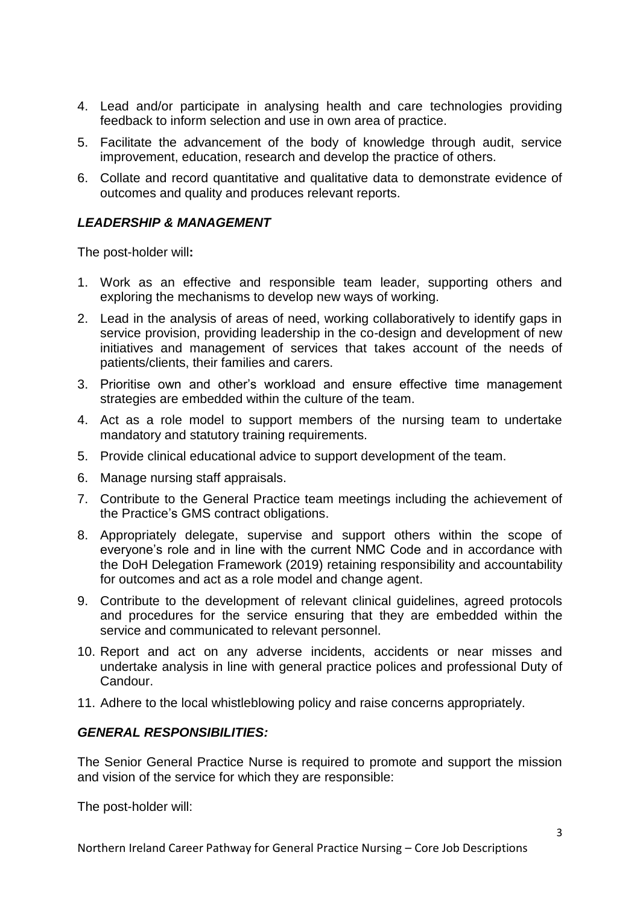- 4. Lead and/or participate in analysing health and care technologies providing feedback to inform selection and use in own area of practice.
- 5. Facilitate the advancement of the body of knowledge through audit, service improvement, education, research and develop the practice of others.
- 6. Collate and record quantitative and qualitative data to demonstrate evidence of outcomes and quality and produces relevant reports.

## *LEADERSHIP & MANAGEMENT*

The post-holder will**:**

- 1. Work as an effective and responsible team leader, supporting others and exploring the mechanisms to develop new ways of working.
- 2. Lead in the analysis of areas of need, working collaboratively to identify gaps in service provision, providing leadership in the co-design and development of new initiatives and management of services that takes account of the needs of patients/clients, their families and carers.
- 3. Prioritise own and other's workload and ensure effective time management strategies are embedded within the culture of the team.
- 4. Act as a role model to support members of the nursing team to undertake mandatory and statutory training requirements.
- 5. Provide clinical educational advice to support development of the team.
- 6. Manage nursing staff appraisals.
- 7. Contribute to the General Practice team meetings including the achievement of the Practice's GMS contract obligations.
- 8. Appropriately delegate, supervise and support others within the scope of everyone's role and in line with the current NMC Code and in accordance with the DoH Delegation Framework (2019) retaining responsibility and accountability for outcomes and act as a role model and change agent.
- 9. Contribute to the development of relevant clinical guidelines, agreed protocols and procedures for the service ensuring that they are embedded within the service and communicated to relevant personnel.
- 10. Report and act on any adverse incidents, accidents or near misses and undertake analysis in line with general practice polices and professional Duty of Candour.
- 11. Adhere to the local whistleblowing policy and raise concerns appropriately.

#### *GENERAL RESPONSIBILITIES:*

The Senior General Practice Nurse is required to promote and support the mission and vision of the service for which they are responsible:

The post-holder will: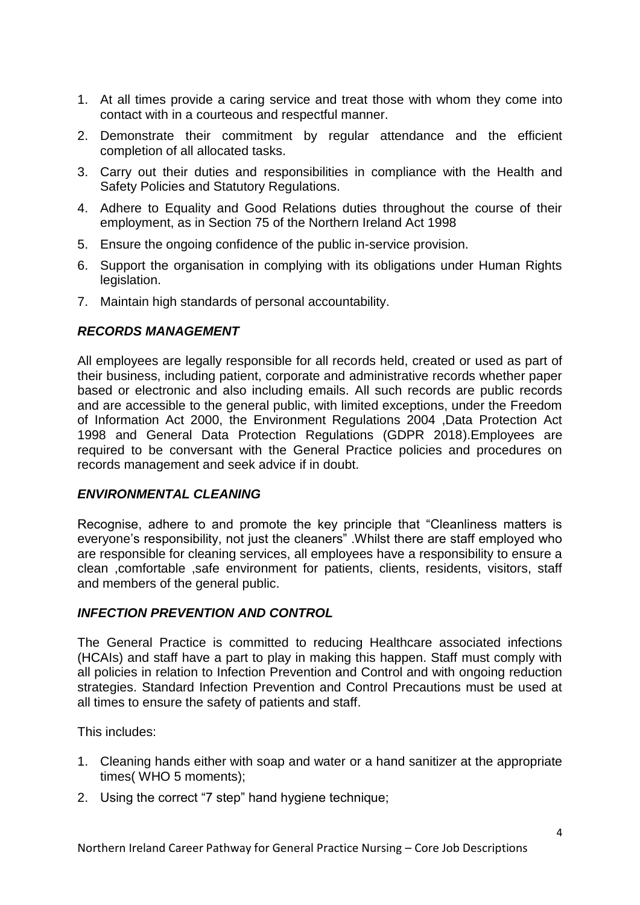- 1. At all times provide a caring service and treat those with whom they come into contact with in a courteous and respectful manner.
- 2. Demonstrate their commitment by regular attendance and the efficient completion of all allocated tasks.
- 3. Carry out their duties and responsibilities in compliance with the Health and Safety Policies and Statutory Regulations.
- 4. Adhere to Equality and Good Relations duties throughout the course of their employment, as in Section 75 of the Northern Ireland Act 1998
- 5. Ensure the ongoing confidence of the public in-service provision.
- 6. Support the organisation in complying with its obligations under Human Rights legislation.
- 7. Maintain high standards of personal accountability.

#### *RECORDS MANAGEMENT*

All employees are legally responsible for all records held, created or used as part of their business, including patient, corporate and administrative records whether paper based or electronic and also including emails. All such records are public records and are accessible to the general public, with limited exceptions, under the Freedom of Information Act 2000, the Environment Regulations 2004 ,Data Protection Act 1998 and General Data Protection Regulations (GDPR 2018).Employees are required to be conversant with the General Practice policies and procedures on records management and seek advice if in doubt.

#### *ENVIRONMENTAL CLEANING*

Recognise, adhere to and promote the key principle that "Cleanliness matters is everyone's responsibility, not just the cleaners" .Whilst there are staff employed who are responsible for cleaning services, all employees have a responsibility to ensure a clean ,comfortable ,safe environment for patients, clients, residents, visitors, staff and members of the general public.

#### *INFECTION PREVENTION AND CONTROL*

The General Practice is committed to reducing Healthcare associated infections (HCAIs) and staff have a part to play in making this happen. Staff must comply with all policies in relation to Infection Prevention and Control and with ongoing reduction strategies. Standard Infection Prevention and Control Precautions must be used at all times to ensure the safety of patients and staff.

This includes:

- 1. Cleaning hands either with soap and water or a hand sanitizer at the appropriate times( WHO 5 moments);
- 2. Using the correct "7 step" hand hygiene technique;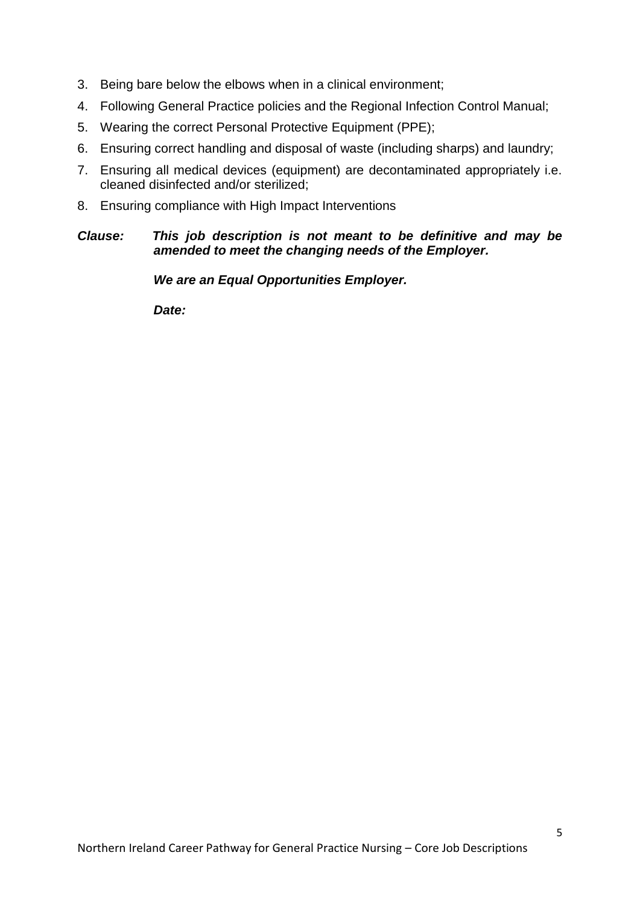- 3. Being bare below the elbows when in a clinical environment;
- 4. Following General Practice policies and the Regional Infection Control Manual;
- 5. Wearing the correct Personal Protective Equipment (PPE);
- 6. Ensuring correct handling and disposal of waste (including sharps) and laundry;
- 7. Ensuring all medical devices (equipment) are decontaminated appropriately i.e. cleaned disinfected and/or sterilized;
- 8. Ensuring compliance with High Impact Interventions

## *Clause: This job description is not meant to be definitive and may be amended to meet the changing needs of the Employer.*

*We are an Equal Opportunities Employer.*

*Date:*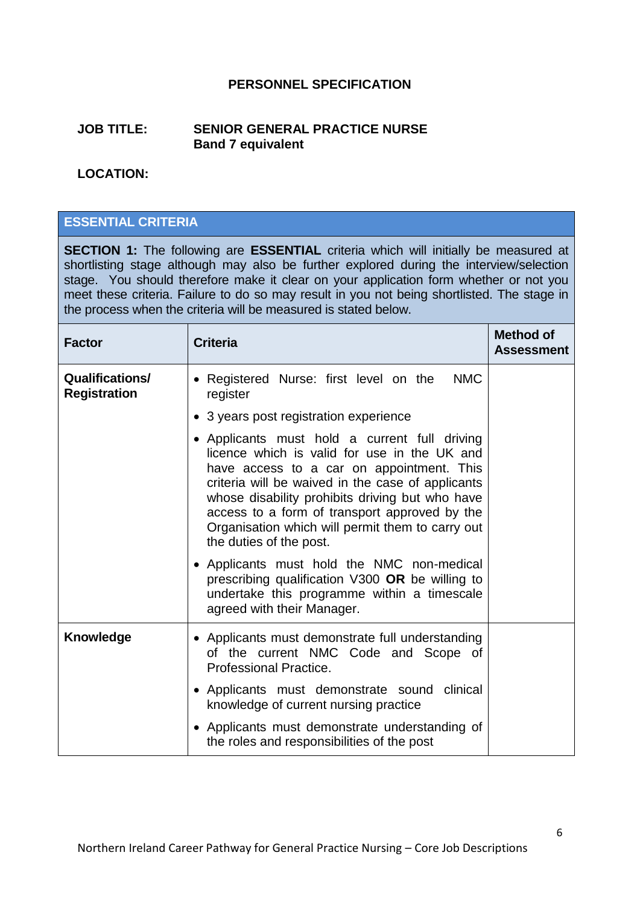## **PERSONNEL SPECIFICATION**

#### **JOB TITLE: SENIOR GENERAL PRACTICE NURSE Band 7 equivalent**

## **LOCATION:**

## **ESSENTIAL CRITERIA**

**SECTION 1:** The following are **ESSENTIAL** criteria which will initially be measured at shortlisting stage although may also be further explored during the interview/selection stage. You should therefore make it clear on your application form whether or not you meet these criteria. Failure to do so may result in you not being shortlisted. The stage in the process when the criteria will be measured is stated below.

| <b>Factor</b>                                 | <b>Criteria</b>                                                                                                                                                                                                                                                                                                                                                                    | <b>Method of</b><br><b>Assessment</b> |
|-----------------------------------------------|------------------------------------------------------------------------------------------------------------------------------------------------------------------------------------------------------------------------------------------------------------------------------------------------------------------------------------------------------------------------------------|---------------------------------------|
| <b>Qualifications/</b><br><b>Registration</b> | • Registered Nurse: first level on the<br><b>NMC</b><br>register                                                                                                                                                                                                                                                                                                                   |                                       |
|                                               | • 3 years post registration experience                                                                                                                                                                                                                                                                                                                                             |                                       |
|                                               | • Applicants must hold a current full driving<br>licence which is valid for use in the UK and<br>have access to a car on appointment. This<br>criteria will be waived in the case of applicants<br>whose disability prohibits driving but who have<br>access to a form of transport approved by the<br>Organisation which will permit them to carry out<br>the duties of the post. |                                       |
|                                               | • Applicants must hold the NMC non-medical<br>prescribing qualification V300 OR be willing to<br>undertake this programme within a timescale<br>agreed with their Manager.                                                                                                                                                                                                         |                                       |
| <b>Knowledge</b>                              | • Applicants must demonstrate full understanding<br>of the current NMC Code and Scope of<br><b>Professional Practice.</b>                                                                                                                                                                                                                                                          |                                       |
|                                               | • Applicants must demonstrate sound<br>clinical<br>knowledge of current nursing practice                                                                                                                                                                                                                                                                                           |                                       |
|                                               | • Applicants must demonstrate understanding of<br>the roles and responsibilities of the post                                                                                                                                                                                                                                                                                       |                                       |